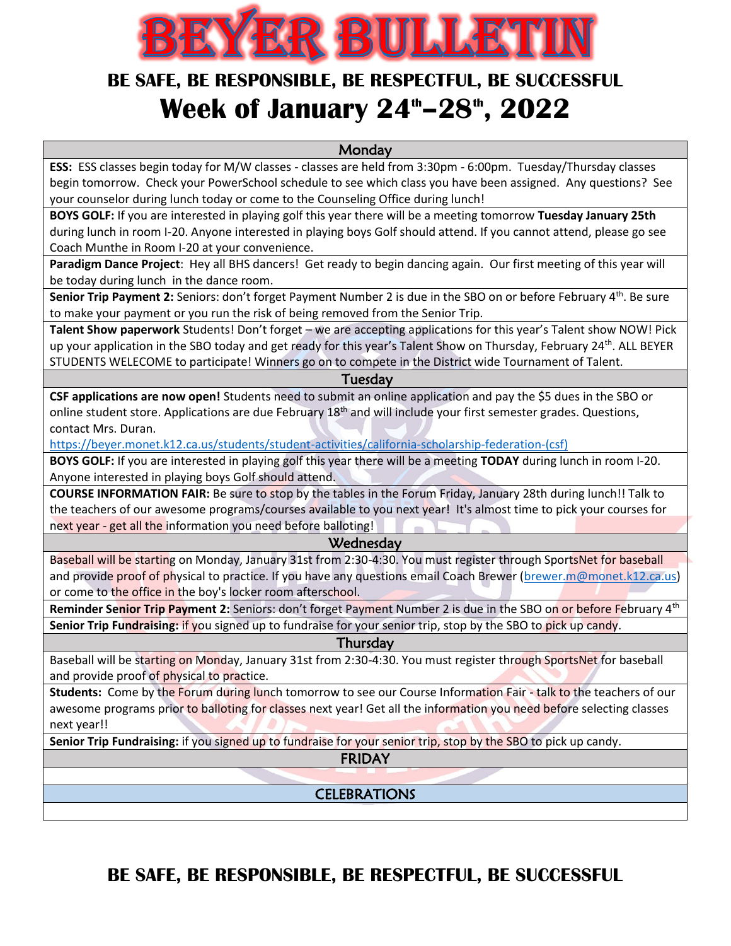

## **BE SAFE, BE RESPONSIBLE, BE RESPECTFUL, BE SUCCESSFUL Week of January 24th–28th, 2022**

**Monday** 

**ESS:** ESS classes begin today for M/W classes - classes are held from 3:30pm - 6:00pm. Tuesday/Thursday classes begin tomorrow. Check your PowerSchool schedule to see which class you have been assigned. Any questions? See your counselor during lunch today or come to the Counseling Office during lunch!

**BOYS GOLF:** If you are interested in playing golf this year there will be a meeting tomorrow **Tuesday January 25th** during lunch in room I-20. Anyone interested in playing boys Golf should attend. If you cannot attend, please go see Coach Munthe in Room I-20 at your convenience.

**Paradigm Dance Project**: Hey all BHS dancers! Get ready to begin dancing again. Our first meeting of this year will be today during lunch in the dance room.

Senior Trip Payment 2: Seniors: don't forget Payment Number 2 is due in the SBO on or before February 4<sup>th</sup>. Be sure to make your payment or you run the risk of being removed from the Senior Trip.

**Talent Show paperwork** Students! Don't forget – we are accepting applications for this year's Talent show NOW! Pick up your application in the SBO today and get ready for this year's Talent Show on Thursday, February 24<sup>th</sup>. ALL BEYER STUDENTS WELECOME to participate! Winners go on to compete in the District wide Tournament of Talent.

Tuesday

**CSF applications are now open!** Students need to submit an online application and pay the \$5 dues in the SBO or online student store. Applications are due February 18<sup>th</sup> and will include your first semester grades. Questions, contact Mrs. Duran.

[https://beyer.monet.k12.ca.us/students/student-activities/california-scholarship-federation-\(csf\)](https://beyer.monet.k12.ca.us/students/student-activities/california-scholarship-federation-(csf))

**BOYS GOLF:** If you are interested in playing golf this year there will be a meeting **TODAY** during lunch in room I-20. Anyone interested in playing boys Golf should attend.

**COURSE INFORMATION FAIR:** Be sure to stop by the tables in the Forum Friday, January 28th during lunch!! Talk to the teachers of our awesome programs/courses available to you next year! It's almost time to pick your courses for next year - get all the information you need before balloting!

## **Wednesday**

Baseball will be starting on Monday, January 31st from 2:30-4:30. You must register through SportsNet for baseball and provide proof of physical to practice. If you have any questions email Coach Brewer [\(brewer.m@monet.k12.ca.us\)](mailto:brewer.m@monet.k12.ca.us) or come to the office in the boy's locker room afterschool.

Reminder Senior Trip Payment 2: Seniors: don't forget Payment Number 2 is due in the SBO on or before February 4<sup>th</sup> **Senior Trip Fundraising:** if you signed up to fundraise for your senior trip, stop by the SBO to pick up candy.

**Thursday** 

Baseball will be starting on Monday, January 31st from 2:30-4:30. You must register through SportsNet for baseball and provide proof of physical to practice.

**Students:** Come by the Forum during lunch tomorrow to see our Course Information Fair - talk to the teachers of our awesome programs prior to balloting for classes next year! Get all the information you need before selecting classes next year!!

**Senior Trip Fundraising:** if you signed up to fundraise for your senior trip, stop by the SBO to pick up candy.

FRIDAY

**CELEBRATIONS** 

**BE SAFE, BE RESPONSIBLE, BE RESPECTFUL, BE SUCCESSFUL**